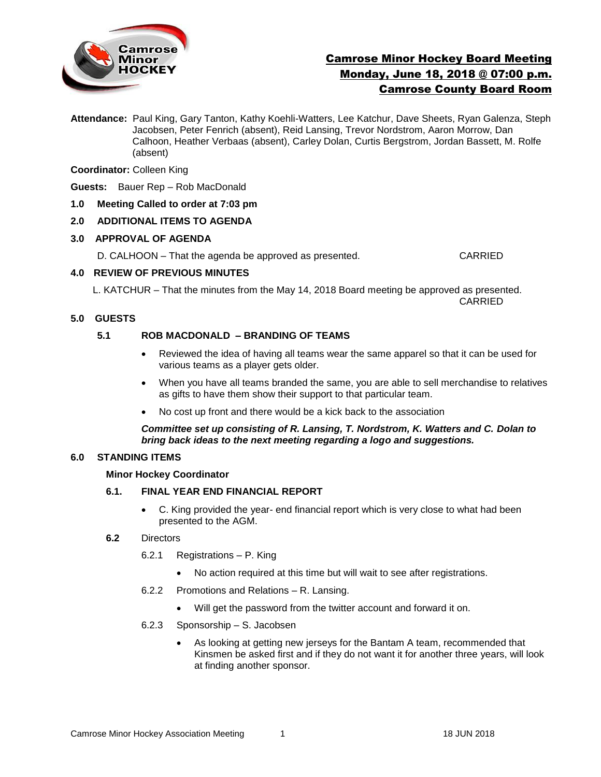

# Camrose Minor Hockey Board Meeting Monday, June 18, 2018 @ 07:00 p.m. Camrose County Board Room

**Attendance:** Paul King, Gary Tanton, Kathy Koehli-Watters, Lee Katchur, Dave Sheets, Ryan Galenza, Steph Jacobsen, Peter Fenrich (absent), Reid Lansing, Trevor Nordstrom, Aaron Morrow, Dan Calhoon, Heather Verbaas (absent), Carley Dolan, Curtis Bergstrom, Jordan Bassett, M. Rolfe (absent)

### **Coordinator:** Colleen King

**Guests:** Bauer Rep – Rob MacDonald

**1.0 Meeting Called to order at 7:03 pm**

# **2.0 ADDITIONAL ITEMS TO AGENDA**

#### **3.0 APPROVAL OF AGENDA**

D. CALHOON – That the agenda be approved as presented. CARRIED

# **4.0 REVIEW OF PREVIOUS MINUTES**

L. KATCHUR – That the minutes from the May 14, 2018 Board meeting be approved as presented. CARRIED

# **5.0 GUESTS**

# **5.1 ROB MACDONALD – BRANDING OF TEAMS**

- Reviewed the idea of having all teams wear the same apparel so that it can be used for various teams as a player gets older.
- When you have all teams branded the same, you are able to sell merchandise to relatives as gifts to have them show their support to that particular team.
- No cost up front and there would be a kick back to the association

#### *Committee set up consisting of R. Lansing, T. Nordstrom, K. Watters and C. Dolan to bring back ideas to the next meeting regarding a logo and suggestions.*

#### **6.0 STANDING ITEMS**

#### **Minor Hockey Coordinator**

# **6.1. FINAL YEAR END FINANCIAL REPORT**

 C. King provided the year- end financial report which is very close to what had been presented to the AGM.

#### **6.2** Directors

- 6.2.1 Registrations P. King
	- No action required at this time but will wait to see after registrations.
- 6.2.2 Promotions and Relations R. Lansing.
	- Will get the password from the twitter account and forward it on.
- 6.2.3 Sponsorship S. Jacobsen
	- As looking at getting new jerseys for the Bantam A team, recommended that Kinsmen be asked first and if they do not want it for another three years, will look at finding another sponsor.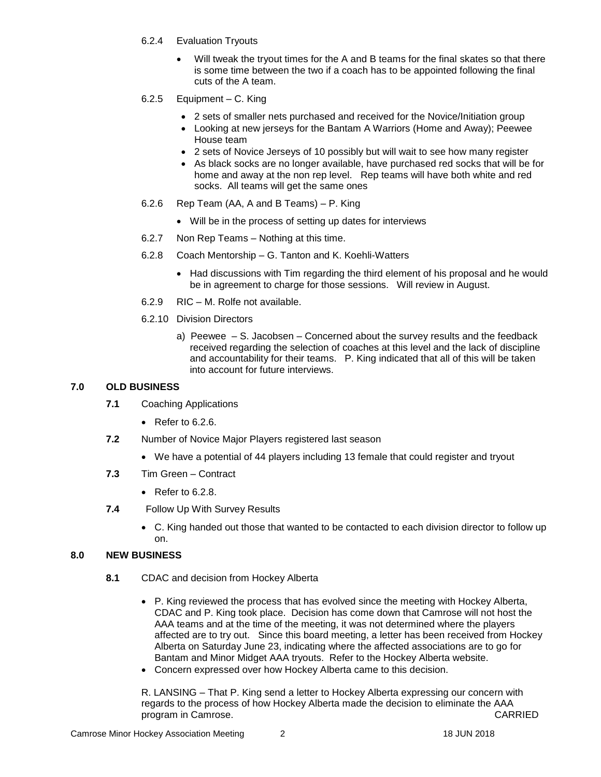- 6.2.4 Evaluation Tryouts
	- Will tweak the tryout times for the A and B teams for the final skates so that there is some time between the two if a coach has to be appointed following the final cuts of the A team.
- 6.2.5 Equipment C. King
	- 2 sets of smaller nets purchased and received for the Novice/Initiation group
	- Looking at new jerseys for the Bantam A Warriors (Home and Away); Peewee House team
	- 2 sets of Novice Jerseys of 10 possibly but will wait to see how many register
	- As black socks are no longer available, have purchased red socks that will be for home and away at the non rep level. Rep teams will have both white and red socks. All teams will get the same ones
- 6.2.6 Rep Team (AA, A and B Teams) P. King
	- Will be in the process of setting up dates for interviews
- 6.2.7 Non Rep Teams Nothing at this time.
- 6.2.8 Coach Mentorship G. Tanton and K. Koehli-Watters
	- Had discussions with Tim regarding the third element of his proposal and he would be in agreement to charge for those sessions. Will review in August.
- 6.2.9 RIC M. Rolfe not available.
- 6.2.10 Division Directors
	- a) Peewee S. Jacobsen Concerned about the survey results and the feedback received regarding the selection of coaches at this level and the lack of discipline and accountability for their teams. P. King indicated that all of this will be taken into account for future interviews.

# **7.0 OLD BUSINESS**

- **7.1** Coaching Applications
	- $\bullet$  Refer to 6.2.6.
- **7.2** Number of Novice Major Players registered last season
	- We have a potential of 44 players including 13 female that could register and tryout
- **7.3** Tim Green Contract
	- $\bullet$  Refer to 6.2.8.
- **7.4** Follow Up With Survey Results
	- C. King handed out those that wanted to be contacted to each division director to follow up on.

# **8.0 NEW BUSINESS**

- **8.1** CDAC and decision from Hockey Alberta
	- P. King reviewed the process that has evolved since the meeting with Hockey Alberta, CDAC and P. King took place. Decision has come down that Camrose will not host the AAA teams and at the time of the meeting, it was not determined where the players affected are to try out. Since this board meeting, a letter has been received from Hockey Alberta on Saturday June 23, indicating where the affected associations are to go for Bantam and Minor Midget AAA tryouts. Refer to the Hockey Alberta website.
	- Concern expressed over how Hockey Alberta came to this decision.

R. LANSING – That P. King send a letter to Hockey Alberta expressing our concern with regards to the process of how Hockey Alberta made the decision to eliminate the AAA program in Camrose. CARRIED